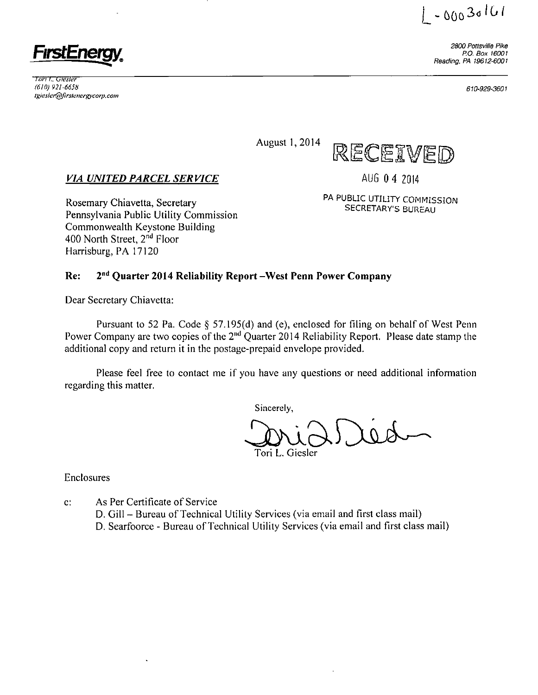$L - 00030161$ 

**FirstEnergy.** 2800 Pottsville Pike 2800 Pottsville Pike 2800 Pottsville Pike 2800 Pottsville Pike 2800 Pottsville Pike 2800 Pottsville Pike 2800 Pottsville Pike 2800 Pottsville Pike 2800 Pottsville Pike 2800 Pottsville Pi P.O. Box 16001 Reading, PA 19612-6001

*ion L. tester (610) 921-6658 lgiesler@firstaiiergycorp.coni* 

610-929-3601

August 1, 2014



*VIA UNITED PARCEL SERVICE* AUG 0 4 2014

*Rosemary Chiavetta, Secretary* Pennsylvania Public Utility Commission Commonwealth Keystone Building 400 North Street, 2<sup>nd</sup> Floor Harrisburg, PA 17120

**PA PUBLIC UTILITY COMMISSION**<br>**SECRETARY'S BUREAU** 

#### **Re: 2 <sup>n</sup> <sup>d</sup> Quarter 2014 Reliability Report -West Penn Power Company**

Dear Secretary Chiavetta:

Pursuant to 52 Pa. Code § 57.195(d) and (e), enclosed for filing on behalf of West Penn Power Company are two copies of the 2<sup>nd</sup> Quarter 2014 Reliability Report. Please date stamp the additional copy and return it in the postage-prepaid envelope provided.

Please feel free to contact me if you have any questions or need additional information regarding this matter.

Sincerely,

Giesler

Enclosures

c: As Per Certificate of Service D. Gill - Bureau of Technical Utility Services (via email and first class mail) D. Searfoorce - Bureau of Technical Utility Services (via email and first class mail)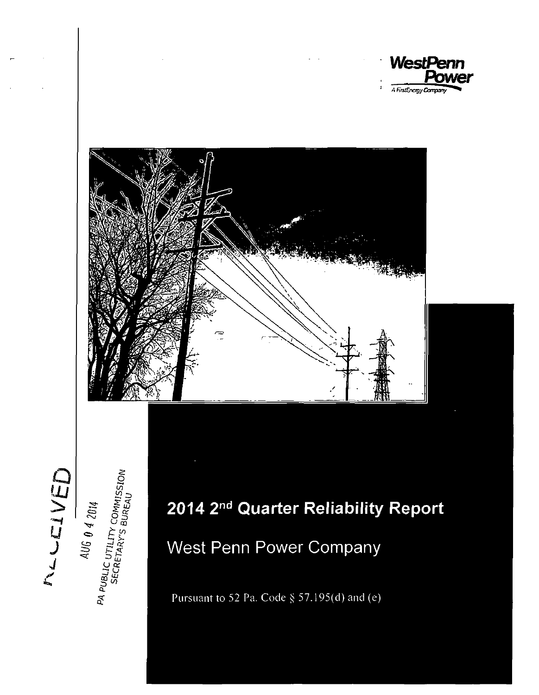





**o »—( CO to ->** 

**f 2** 

# **2014 2 <sup>n</sup> <sup>d</sup> Quarter Reliability Report**

West Penn Power Company

Pursuant to 52 Pa. Code § 57.195(d) and (e)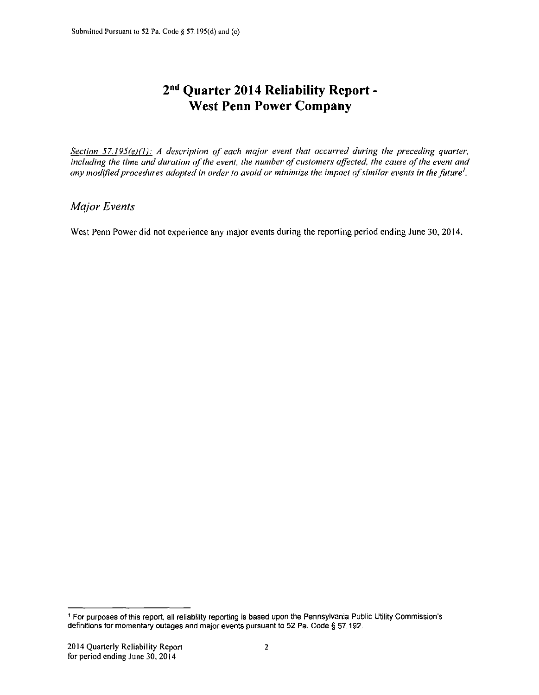### **2 n d Quarter 2014 Reliability Report - West Penn Power Company**

*Section 57.195(e)(1): A description of each major event thai occurred during the preceding quarter, including the time and duration of the event, the number of customers affected, the cause of the event and any modified procedures adopted in order to avoid or minimize the impact of simitar events in the future'.* 

#### *Major Events*

West Penn Power did not experience any major events during the reporting period ending June 30, 2014.

<sup>1</sup> For purposes of this report, all reliability reporting is based upon the Pennsylvania Public Utility Commission's definitions for momentary outages and major events pursuant to 52 Pa. Code § 57.192.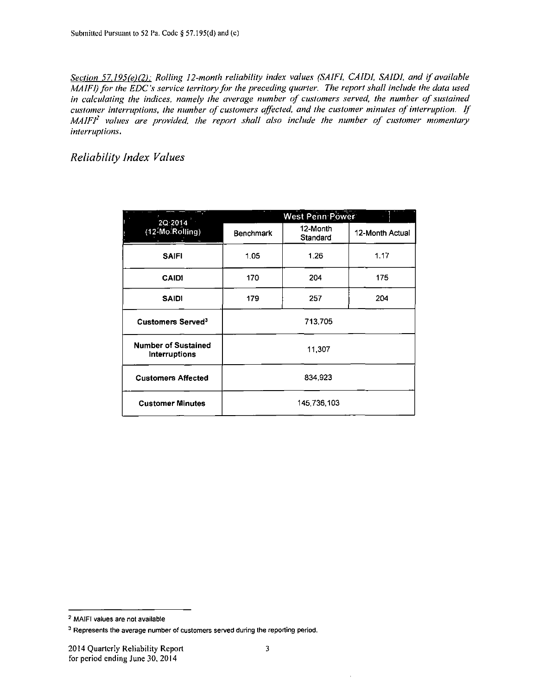*Section 57.195(e)(2): Rolling 12-month reliability index values (SAIFI, CAIDI, SAIDI. and if available MAIFI) for the EDC's service territory for the preceding quarter. The report shall include the data used in calculating the indices, namely the average number of customers served, the number of sustained customer interruptions, the number of customers affected, and the customer minutes of interruption. If MAIFI<sup>2</sup> values are provided, the report shall also include the number of customer momentary interruptions.* 

*Reliability Index Values* 

| 2Q:2014                                            |                  | <b>West Penn Power</b> |                 |
|----------------------------------------------------|------------------|------------------------|-----------------|
| (12-Mo. Rolling)                                   | <b>Benchmark</b> | 12-Month<br>Standard   | 12-Month Actual |
| <b>SAIFI</b>                                       | 1.05             | 1.26                   | 1.17            |
| <b>CAID!</b>                                       | 170              | 204                    | 175             |
| <b>SAIDI</b>                                       | 179              | 257                    | 204             |
| Customers Served <sup>3</sup>                      |                  | 713,705                |                 |
| <b>Number of Sustained</b><br><b>Interruptions</b> |                  | 11,307                 |                 |
| <b>Customers Affected</b>                          |                  | 834,923                |                 |
| <b>Customer Minutes</b>                            |                  | 145,736,103            |                 |

<sup>2</sup> MAIFI values are not available

<sup>&</sup>lt;sup>3</sup> Represents the average number of customers served during the reporting period.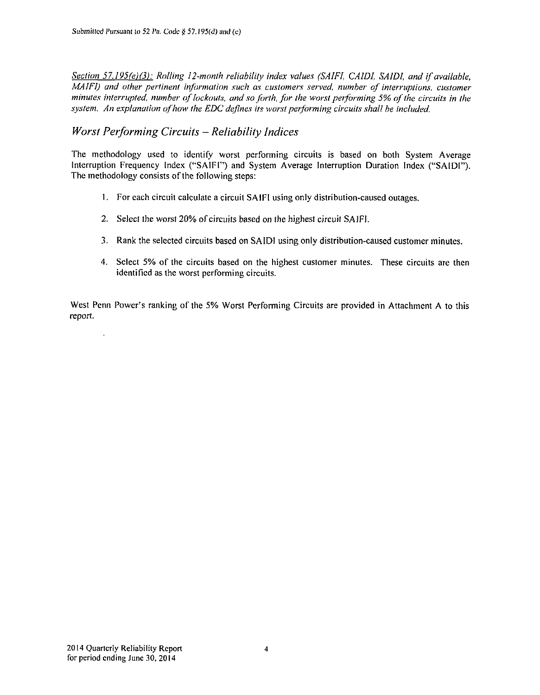*Section 57.195(e)(3): Rolling 12-month reliability index values (SAIFI, CAIDI, SAIDI, and if available, MAIFI)* and other pertinent information such as customers served, number of interruptions, customer *minutes interrupted, number of lockouts, and so forth, for the worst performing 5% ofthe circuits in the system. An explanation of how the EDC defines its worst performing circuits shall be included.* 

#### *Worst Performing Circuits - Reliability Indices*

The methodology used to identify worst performing circuits is based on both System Average Interruption Frequency Index ("SAIFI") and System Average Interruption Duration Index ("SAIDI"). The methodology consists of the following steps:

- 1. For each circuit calculate a circuit SAIFI using only distribution-caused outages.
- 2. Select the worst 20% of circuits based on the highest circuit SAIFI.
- 3. Rank the selected circuits based on SAIDI using only distribution-caused customer minutes.
- 4. Select 5% of the circuits based on the highest customer minutes. These circuits are then identified as the worst performing circuits.

West Penn Power's ranking of the 5% Worst Performing Circuits are provided in Attachment A to this report.

 $\ddot{\phantom{0}}$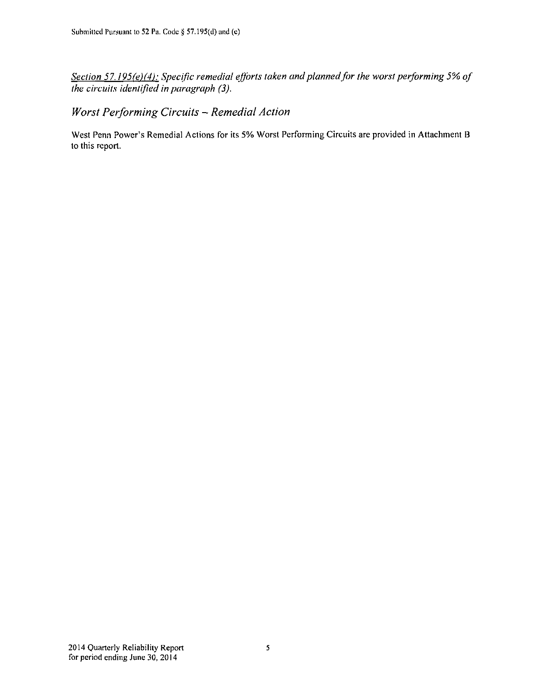*Section 57.195(e)(4): Specific remedial efforts taken and planned for the worst performing 5% of the circuits identified in paragraph (3).* 

*Worst Performing Circuits - Remedial Action* 

West Penn Power's Remedial Actions for its 5% Worst Performing Circuits are provided in Attachment B to this report.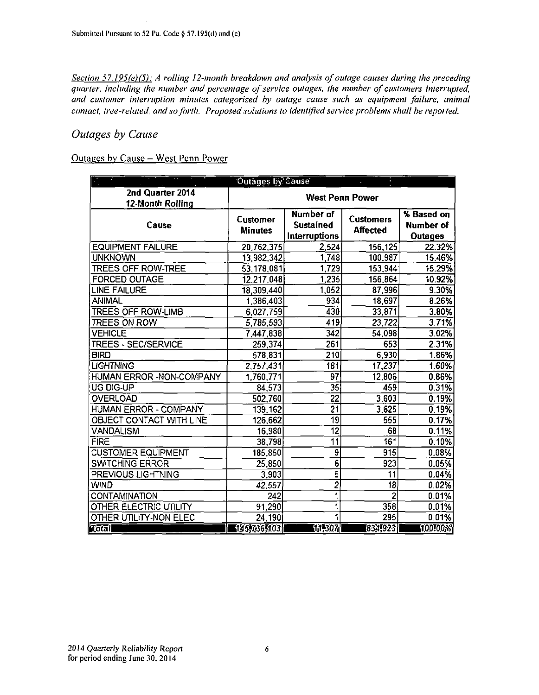*Section 57.195(e)(5): A rolling 12-month breakdown and analysis of outage causes during the preceding quarter, including the number and percentage of service outages, the number of customers interrupted, and customer interruption minutes categorized by outage cause such as equipment failure, animal contact, tree-related, and so forth. Proposed solutions to identified service problems shall he reported.* 

#### *Outages by Cause*

#### Outages by Cause - West Penn Power

|                                 | ř.<br><b>Outages by Cause</b><br>$\mathcal{L}^{\text{max}}$ |                                         |                                     |                                                  |  |  |  |  |
|---------------------------------|-------------------------------------------------------------|-----------------------------------------|-------------------------------------|--------------------------------------------------|--|--|--|--|
| 2nd Quarter 2014                | <b>West Penn Power</b>                                      |                                         |                                     |                                                  |  |  |  |  |
| 12-Month Rolling                |                                                             |                                         |                                     |                                                  |  |  |  |  |
| Cause                           | <b>Customer</b><br><b>Minutes</b>                           | Number of<br>Sustained<br>Interruptions | <b>Customers</b><br><b>Affected</b> | % Based on<br><b>Number of</b><br><b>Outages</b> |  |  |  |  |
| <b>EQUIPMENT FAILURE</b>        | 20,762,375                                                  | 2,524                                   | 156,125                             | 22.32%                                           |  |  |  |  |
| <b>UNKNOWN</b>                  | 13,982,342                                                  | 1,748                                   | 100,987                             | 15.46%                                           |  |  |  |  |
| <b>TREES OFF ROW-TREE</b>       | 53,178,081                                                  | 1,729                                   | 153,944                             | 15.29%                                           |  |  |  |  |
| <b>FORCED OUTAGE</b>            | 12,217,048                                                  | 1,235                                   | 156,864                             | 10.92%                                           |  |  |  |  |
| <b>LINE FAILURE</b>             | 18,309,440                                                  | 1,052                                   | 87,996                              | 9.30%                                            |  |  |  |  |
| <b>ANIMAL</b>                   | 1,386,403                                                   | 934                                     | 18,697                              | $8.26\%$                                         |  |  |  |  |
| <b>TREES OFF ROW-LIMB</b>       | 6,027,759                                                   | 430                                     | 33,871                              | 3.80%                                            |  |  |  |  |
| TREES ON ROW                    | 5,785,593                                                   | 419                                     | 23,722                              | 3.71%                                            |  |  |  |  |
| <b>VEHICLE</b>                  | 7,447,838                                                   | $\overline{342}$                        | 54,098                              | 3.02%                                            |  |  |  |  |
| TREES - SEC/SERVICE             | 259,374                                                     | 261                                     | 653                                 | 2.31%                                            |  |  |  |  |
| <b>BIRD</b>                     | 578,831                                                     | 210                                     | 6,930                               | 1.86%                                            |  |  |  |  |
| <b>LIGHTNING</b>                | 2,757,431                                                   | 181                                     | 17,237                              | 1.60%                                            |  |  |  |  |
| <b>HUMAN ERROR -NON-COMPANY</b> | 1,760,771                                                   | $\overline{97}$                         | 12,806                              | 0.86%                                            |  |  |  |  |
| UG DIG-UP                       | 84,573                                                      | 35                                      | 459                                 | 0.31%                                            |  |  |  |  |
| <b>OVERLOAD</b>                 | 502,760                                                     | $\overline{22}$                         | 3,603                               | 0.19%                                            |  |  |  |  |
| HUMAN ERROR - COMPANY           | 139,162                                                     | $\overline{21}$                         | 3,625                               | 0.19%                                            |  |  |  |  |
| OBJECT CONTACT WITH LINE        | 126,662                                                     | $\overline{19}$                         | 555                                 | 0.17%                                            |  |  |  |  |
| VANDALISM                       | 16,980                                                      | $\overline{12}$                         | 68                                  | 0.11%                                            |  |  |  |  |
| <b>FIRE</b>                     | 38,798                                                      | $\overline{11}$                         | 161                                 | 0.10%                                            |  |  |  |  |
| <b>CUSTOMER EQUIPMENT</b>       | 185,850                                                     | 9                                       | 915                                 | 0.08%                                            |  |  |  |  |
| <b>SWITCHING ERROR</b>          | 25,850                                                      | $\overline{6}$                          | 923                                 | 0.05%                                            |  |  |  |  |
| PREVIOUS LIGHTNING              | 3,903                                                       | $\overline{\mathbf{5}}$                 | $\overline{11}$                     | 0.04%                                            |  |  |  |  |
| <b>WIND</b>                     | 42,557                                                      | $\overline{2}$                          | 18                                  | 0.02%                                            |  |  |  |  |
| CONTAMINATION                   | 242                                                         | $\overline{\mathbf{1}}$                 | $\overline{2}$                      | 0.01%                                            |  |  |  |  |
| OTHER ELECTRIC UTILITY          | 91,290                                                      | $\overline{\mathbf{1}}$                 | 358                                 | 0.01%                                            |  |  |  |  |
| OTHER UTILITY-NON ELEC          | 24,190                                                      |                                         | 295                                 | 0.01%                                            |  |  |  |  |
| Total                           | 145,736,103                                                 | [11,307]                                | [834!923]                           | [100100]                                         |  |  |  |  |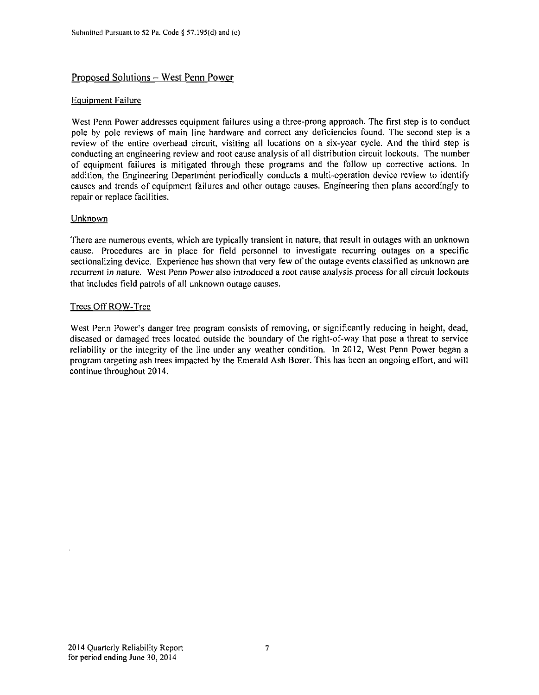#### Proposed Solutions — West Penn Power

#### Equipment Failure

West Penn Power addresses equipment failures using a three-prong approach. The first step is to conduct pole by pole reviews of main line hardware and correct any deficiencies found. The second step is a review of the entire overhead circuit, visiting all locations on a six-year cycle. And the third step is conducting an engineering review and root cause analysis of all distribution circuit lockouts. The number of equipment failures is mitigated through these programs and the follow up corrective actions. In addition, the Engineering Deparlment periodically conducts a multi-operation device review to identify causes and trends of equipment failures and olher outage causes. Engineering then plans accordingly to repair or replace facilities.

#### **Unknown**

There are numerous events, which are typically transient in nature, that result in outages with an unknown cause. Procedures are in place for field personnel to investigate recurring outages on a specific sectionalizing device. Experience has shown that very few of the outage events classified as unknown are recurrent in nature. West Penn Power also introduced a root cause analysis process for all circuit lockouts that includes field patrols of all unknown outage causes.

#### Trees Off ROW-Tree

West Penn Power's danger tree program consists of removing, or significantly reducing in height, dead, diseased or damaged trees located outside the boundary of the right-of-way that pose a threat to service reliability or the integrity of the line under any weather condition. In 2012, West Penn Power began a program targeting ash trees impacted by the Emerald Ash Borer. This has been an ongoing effort, and will continue throughout 2014.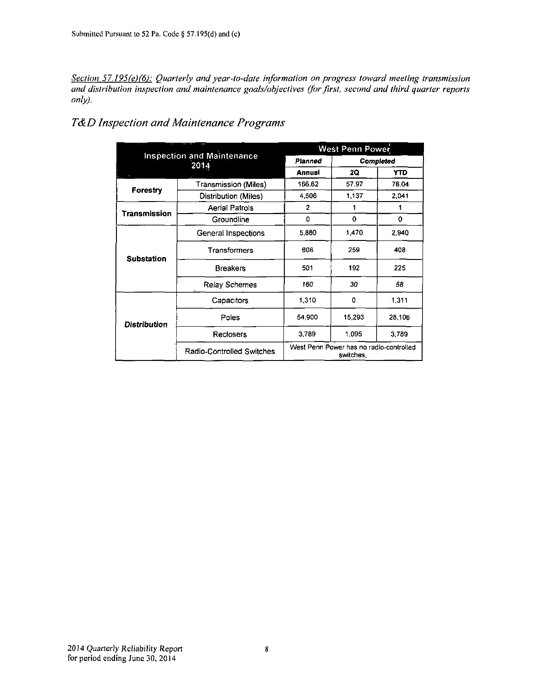*Section 57.195{e)(6): Quarterly and year-to-date information on progress toward meeting transmission and distribution inspection and maintenance goals/objectives (for first, second and third quarter reports only).* 

|  | T&D Inspection and Maintenance Programs |  |
|--|-----------------------------------------|--|
|--|-----------------------------------------|--|

|                     |                                           |                | West Penn Power                                      |            |
|---------------------|-------------------------------------------|----------------|------------------------------------------------------|------------|
|                     | <b>Inspection and Maintenance</b><br>2014 | Planned        |                                                      | Completed  |
|                     |                                           | Annual         | 2Q                                                   | <b>YTD</b> |
|                     | <b>Transmission (Miles)</b>               | 166.62         | 57.97                                                | 78.04      |
| Forestry            | Distribution (Miles)                      | 4,506          | 1,137                                                | 2,041      |
| Transmission        | <b>Aerial Patrols</b>                     | $\overline{2}$ | 1                                                    | 1          |
|                     | Groundline                                | 0              | 0                                                    | 0          |
|                     | General Inspections                       | 5,880          | 1,470                                                | 2.940      |
| Substation          | Transformers                              | 608            | 259                                                  | 408        |
|                     | <b>Breakers</b>                           | 501            | 192                                                  | 225        |
|                     | Relay Schemes                             | 160            | 30                                                   | 58         |
|                     | Capacitors                                | 1,310          | 0                                                    | 1.311      |
| <b>Distribution</b> | Poles                                     | 54 900         | 15,293                                               | 28,106     |
|                     | Reclosers                                 | 3,789          | 1.095                                                | 3.789      |
|                     | Radio-Controlled Switches                 |                | West Penn Power has no radio-controlled<br>switches. |            |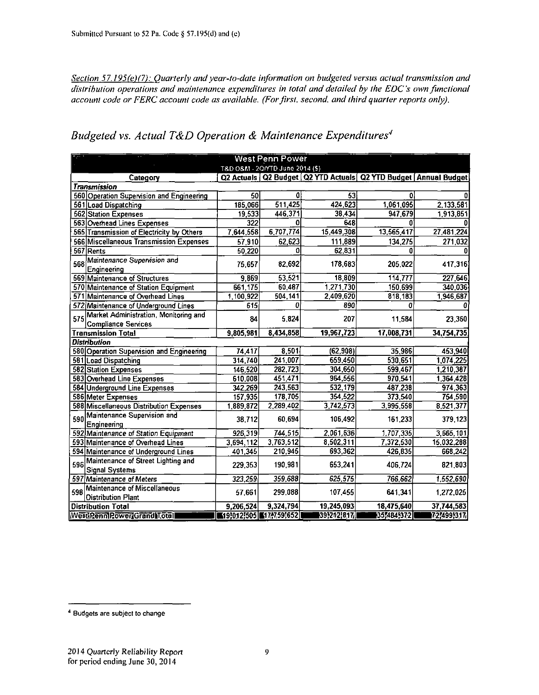*Section 57.195(e)(7): Quarterly and year-to-date information on budgeted versus actual transmission and distribution operations and maintenance expenditures in tolal and detailed by the EDC's own functional account code or FERC account code as available. (For first, second, and third quarter reports only).* 

|                                                                            |                       | West Penn Power                 |            |                                                                         |            |  |  |  |  |
|----------------------------------------------------------------------------|-----------------------|---------------------------------|------------|-------------------------------------------------------------------------|------------|--|--|--|--|
|                                                                            |                       | T&D O&M - 2QIYTD June 2014 (\$) |            |                                                                         |            |  |  |  |  |
| Category                                                                   |                       |                                 |            | Q2 Actuals   Q2 Budget   Q2 YTD Actuals   Q2 YTD Budget   Annual Budget |            |  |  |  |  |
| <b>Transmission</b>                                                        |                       |                                 |            |                                                                         |            |  |  |  |  |
| 560 Operation Supervision and Engineering                                  | 50                    | $\mathbf{0}$                    | 53         | O.                                                                      |            |  |  |  |  |
| 561 Load Dispatching                                                       | 185,066               | 511,425                         | 424,623    | 1,061,095                                                               | 2,133,581  |  |  |  |  |
| 562 Station Expenses                                                       | 19,533                | 446,371                         | 38,434     | 947,679                                                                 | 1913,851   |  |  |  |  |
| 563 Overhead Lines Expenses                                                | $\overline{322}$      | 0                               | 648        | 01                                                                      |            |  |  |  |  |
| 565 Transmission of Electricity by Others                                  | 7,644,558             | 6,707,774                       | 15,449,308 | 13,565,417                                                              | 27,481,224 |  |  |  |  |
| 566 Miscellaneous Transmission Expenses                                    | 57,910                | 62,623                          | 111,889    | 134,275                                                                 | 271,032    |  |  |  |  |
| 567 Rents                                                                  | 50,220                | 0                               | 62,831     | 0                                                                       |            |  |  |  |  |
| Maintenance Supervision and<br>568<br>Engineering                          | 75,657                | 82,692                          | 178,683    | 205.022                                                                 | 417,316    |  |  |  |  |
| 569 Maintenance of Structures                                              | 9,869                 | 53,521                          | 18,809     | 114,777                                                                 | 227,646    |  |  |  |  |
| 570 Maintenance of Station Equipment                                       | 661,175               | 60,487                          | 1,271,730  | 150,699                                                                 | 340,036    |  |  |  |  |
| 571 Maintenance of Overhead Lines                                          | 1,100,922             | 504,141                         | 2,409,620  | 818,183                                                                 | 1,946,687  |  |  |  |  |
| 572 Maintenance of Underground Lines                                       | 615                   | 0                               | 890        | а                                                                       |            |  |  |  |  |
| Market Administration, Monitoring and<br>575<br><b>Compliance Services</b> | 84                    | 5,824                           | 207        | 11,584                                                                  | 23,360     |  |  |  |  |
| <b>Transmission Total</b>                                                  | 9,805,981             | 8,434,858                       | 19,967,723 | 17.008,731                                                              | 34,754,735 |  |  |  |  |
| <b>Distribution</b>                                                        |                       |                                 |            |                                                                         |            |  |  |  |  |
| 580 Operation Supervision and Engineering                                  | 74,417                | 8,501                           | (62, 908)  | 35,986                                                                  | 453,940    |  |  |  |  |
| 581 Load Dispatching                                                       | 314,740               | 241,007                         | 659,450    | 530,651                                                                 | 1,074,225  |  |  |  |  |
| 582 Station Expenses                                                       | 146,520               | 282,723                         | 304,650    | 599,467                                                                 | 1,210,387  |  |  |  |  |
| 583 Overhead Line Expenses                                                 | 610,008               | 451,471                         | 964,556    | 970,541                                                                 | 1,364,428  |  |  |  |  |
| 584 Underground Line Expenses                                              | 342,269               | 243,563                         | 532,179    | 487,238                                                                 | 974,363    |  |  |  |  |
| 586 Meter Expenses                                                         | 157,935               | 178,705                         | 354,522    | 373,540                                                                 | 754,590    |  |  |  |  |
| 588 Miscellaneous Distribution Expenses                                    | 1,889,872             | 2,289,402                       | 3.742,573  | 3,995,558                                                               | 8,521,377  |  |  |  |  |
| Maintenance Supervision and<br>590<br>Engineering                          | 38,712                | 60.694                          | 106,492    | 161,233                                                                 | 379,123    |  |  |  |  |
| 592 Maintenance of Station Equipment                                       | 926,319               | 744,515                         | 2,061,636  | 1,707,335                                                               | 3,665,101  |  |  |  |  |
| 593 Maintenance of Overhead Lines                                          | 3,694,112             | 3,763,512                       | 8,502,311  | 7.372,530                                                               | 15,032,288 |  |  |  |  |
| 594 Maintenance of Underground Lines                                       | 401,345               | 210,945                         | 693,362    | 426,835                                                                 | 668,242    |  |  |  |  |
| Maintenance of Street Lighting and<br>596<br>Signal Systems                | 229,353               | 190,981                         | 653,241    | 406.724                                                                 | 821,803    |  |  |  |  |
| 597 Maintenance of Meters                                                  | 323,259               | 359,688                         | 625,575    | 766,662                                                                 | 1,552,690  |  |  |  |  |
| Maintenance of Miscellaneous<br>598<br><b>Distribution Plant</b>           | 57,661                | 299,088                         | 107,455    | 641,341                                                                 | 1,272,025  |  |  |  |  |
| <b>Distribution Total</b>                                                  | 9,206,524             | 9,324,794                       | 19,245,093 | 18,475,640                                                              | 37,744,583 |  |  |  |  |
| WestIRennIPowerIGrandIT.otal                                               | 1910121505 17,7591652 |                                 | 39,212,817 | 35,484,372                                                              | 727499,317 |  |  |  |  |

#### *Budgeted vs. Actual T&D Operation & Maintenance Expenditures<sup>4</sup>*

<sup>&</sup>lt;sup>4</sup> Budgets are subject to change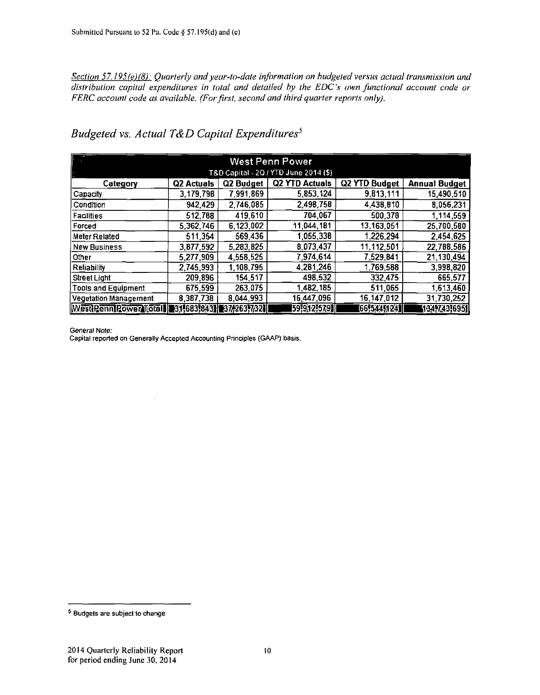*Section 57.195(e)(8): Quarterly and year-to-date information on budgeted versus actual transmission and distribution capital expenditures in total and detailed hy the EDC's own functional account code or FERC account code as available. (For first, second and third quarter reports only).* 

|                                       | <b>West Penn Power</b> |            |                |                      |                      |  |  |  |  |  |  |
|---------------------------------------|------------------------|------------|----------------|----------------------|----------------------|--|--|--|--|--|--|
| T&D Capital - 2Q / YTD June 2014 (\$) |                        |            |                |                      |                      |  |  |  |  |  |  |
| Category                              | Q2 Actuals             | Q2 Budget  | Q2 YTD Actuals | Q2 YTD Budget        | <b>Annual Budget</b> |  |  |  |  |  |  |
| Capacity                              | 3.179.798              | 7.991.869  | 5,853,124      | 9.813.111            | 15,490,510           |  |  |  |  |  |  |
| Condition                             | 942,429                | 2,746,085  | 2,498,758      | 4,438,810            | 8,056,231            |  |  |  |  |  |  |
| <b>Facilities</b>                     | 512,788                | 419,610    | 704,067        | 500,378              | 1.114.559            |  |  |  |  |  |  |
| Forced                                | 5,362,746              | 6.123.002  | 11,044,181     | 13,163,051           | 25,700,580           |  |  |  |  |  |  |
| Meter Related                         | 511.354                | 569.436    | 1,055,338      | 1,226,294            | 2.454,625            |  |  |  |  |  |  |
| <b>New Business</b>                   | 3,877,592              | 5,283,825  | 8,073,437      | 11,112,501           | 22,788,586           |  |  |  |  |  |  |
| Other                                 | 5.277,909              | 4.558.525  | 7,974,614      | 7,529,841            | 21,130,494           |  |  |  |  |  |  |
| Reliability                           | 2,745,993              | 1,108,795  | 4,281,246      | 1,769,588            | 3,998,820            |  |  |  |  |  |  |
| <b>Street Light</b>                   | 209,896                | 154 517    | 498,532        | 332,475              | 665,577              |  |  |  |  |  |  |
| <b>Tools and Equipment</b>            | 675,599                | 263.075    | 1,482,185      | 511,065              | 1,613,460            |  |  |  |  |  |  |
| Vegetation Management                 | 8,387,738              | 8,044,993  | 16,447,096     | 16,147,012           | 31,730,252           |  |  |  |  |  |  |
| Westleenn Power Total                 | 31,683,8431            | 37,263,732 | [59]912]579]   | (66,544,124 <b>)</b> | 134743,6951          |  |  |  |  |  |  |

*Budgeted vs. Actual T&D Capital Expenditures<sup>1</sup>*

General Note;

Capital reported on Generally Accepted Accounting Principles (GAAP) basis.

<sup>&</sup>lt;sup>5</sup> Budgets are subject to change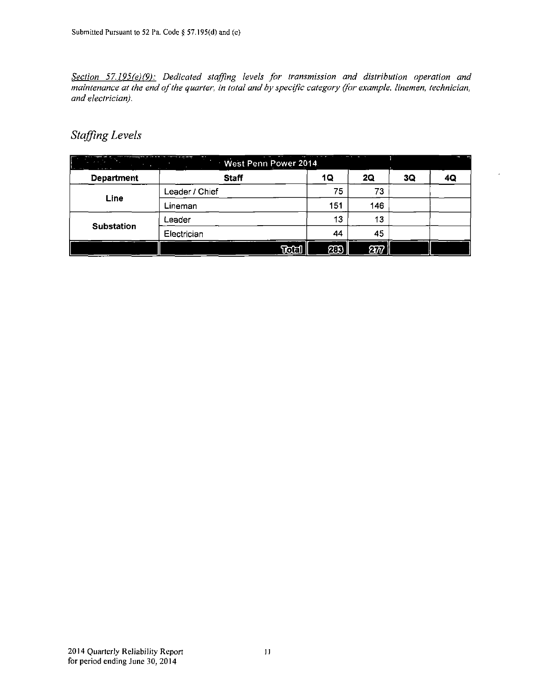*Section 57.195(e)(9): Dedicated staffing levels for transmission and distribution operation and maintenance at the end of the quarter, in total and by specific category (for example, linemen, technician, and electrician).* 

#### *Staffing Levels*

|                   |                |       | $\sim$ |                             |    |    |
|-------------------|----------------|-------|--------|-----------------------------|----|----|
| <b>Department</b> | <b>Staff</b>   |       | 1Q     | 2Q                          | 3Q | 4Q |
|                   | Leader / Chief |       | 75     | 73                          |    |    |
| Line              | Lineman        |       | 151    | 146                         |    |    |
|                   | Leader         |       | 13     | 13                          |    |    |
| <b>Substation</b> | Electrician    |       | 44     | 45                          |    |    |
|                   |                | िद्धा | ත      | $\overline{2} \overline{w}$ |    |    |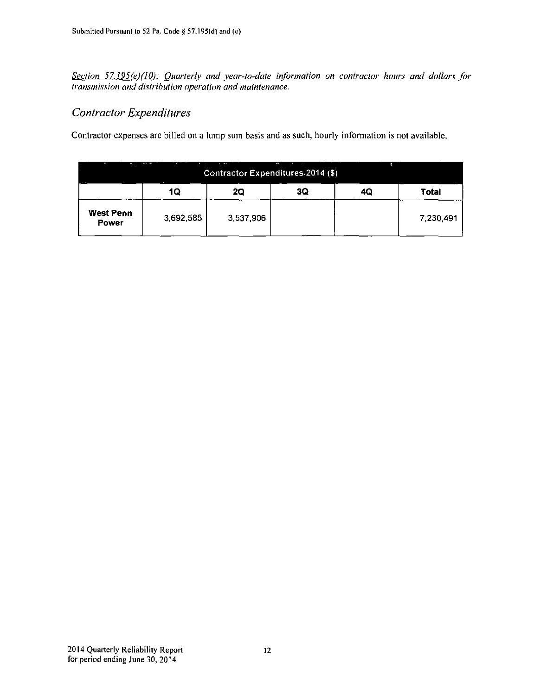*Section 57.195(e)(I0): Quarterly and year-to-date information on contractor hours and dollars for transmission and distribution operation and maintenance.* 

#### *Contractor Expenditures*

Contractor expenses are billed on a lump sum basis and as such, hourly information is not available.

| $\cdots$<br>__<br>ļ<br>l,<br>Contractor Expenditures 2014 (\$) |           |           |    |    |           |  |  |  |  |  |
|----------------------------------------------------------------|-----------|-----------|----|----|-----------|--|--|--|--|--|
|                                                                | 1Q        | 20        | 3Q | 4Q | Total     |  |  |  |  |  |
| <b>West Penn</b><br><b>Power</b>                               | 3.692,585 | 3.537,906 |    |    | 7,230,491 |  |  |  |  |  |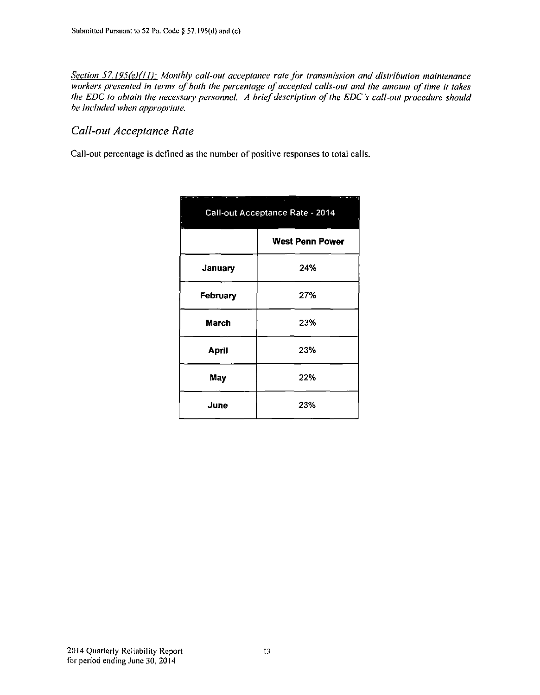**Section 57.195(e)(11):** Monthly call-out acceptance rate for transmission and distribution maintenance *workers presented in terms of both the percentage of accepted calls-out and the amount of time it takes the EDC to obtain the necessary personnel. A brief description of the EDC's call-out procedure should be included when appropriate.* 

#### *Call-out Acceptance Rate*

Call-out percentage is defined as the number of positive responses to total calls.

|              | Call-out Acceptance Rate - 2014 |  |  |  |  |  |  |  |  |
|--------------|---------------------------------|--|--|--|--|--|--|--|--|
|              | <b>West Penn Power</b>          |  |  |  |  |  |  |  |  |
| January      | 24%                             |  |  |  |  |  |  |  |  |
| February     | 27%                             |  |  |  |  |  |  |  |  |
| March        | 23%                             |  |  |  |  |  |  |  |  |
| <b>April</b> | 23%                             |  |  |  |  |  |  |  |  |
| May          | 22%                             |  |  |  |  |  |  |  |  |
| June         | 23%                             |  |  |  |  |  |  |  |  |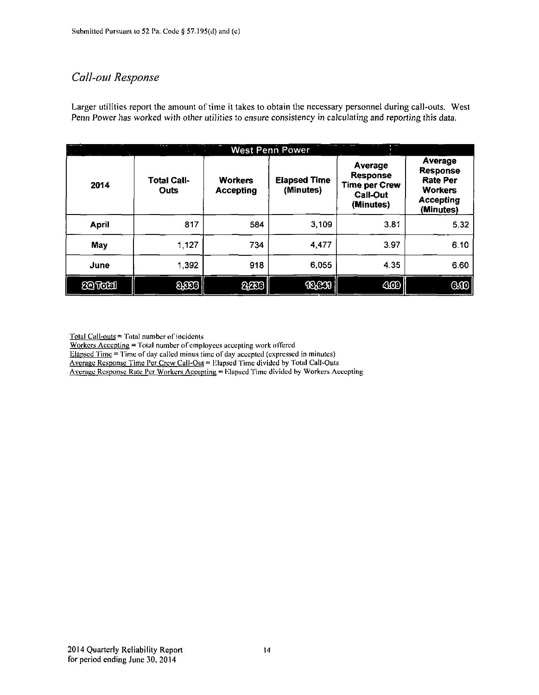#### *Cail-oul Response*

Larger utilities report the amount of time it takes to obtain the necessary personnel during call-outs. West Penn Power has worked with other utilities to ensure consistency in calculating and reporting this data.

|              | - 7.<br>$\mathcal{L}$      |                             | West Penn Power                  |                                                                             |                                                                                                  |
|--------------|----------------------------|-----------------------------|----------------------------------|-----------------------------------------------------------------------------|--------------------------------------------------------------------------------------------------|
| 2014         | <b>Total Call-</b><br>Outs | <b>Workers</b><br>Accepting | <b>Elapsed Time</b><br>(Minutes) | Average<br>Response<br><b>Time per Crew</b><br><b>Call-Out</b><br>(Minutes) | Average<br><b>Response</b><br><b>Rate Per</b><br><b>Workers</b><br><b>Accepting</b><br>(Minutes) |
| <b>April</b> | 817                        | 584                         | 3,109                            | 3.81                                                                        | 5.32                                                                                             |
| May          | 1,127                      | 734                         | 4,477                            | 3.97                                                                        | 6.10                                                                                             |
| June         | 1,392                      | 918                         | 6,055                            | 4.35                                                                        | 6.60                                                                                             |
| 29 Total     | 8,883                      | 2203                        | 18691                            | 409                                                                         | <b>GO</b>                                                                                        |

Total Call-outs = Total number of incidents

Workers Accepting = Total number ol'employces accepting work offered

 $E$ lapsed Time = Time of day called minus time of day accepted (expressed in minutes)

Average Response Time Per Crew Call-Out = Klapsed Time divided by Total Call-Outs

Average Response Rate Per Workers Aeccpting = Klapsed Time divided by Workers Accepting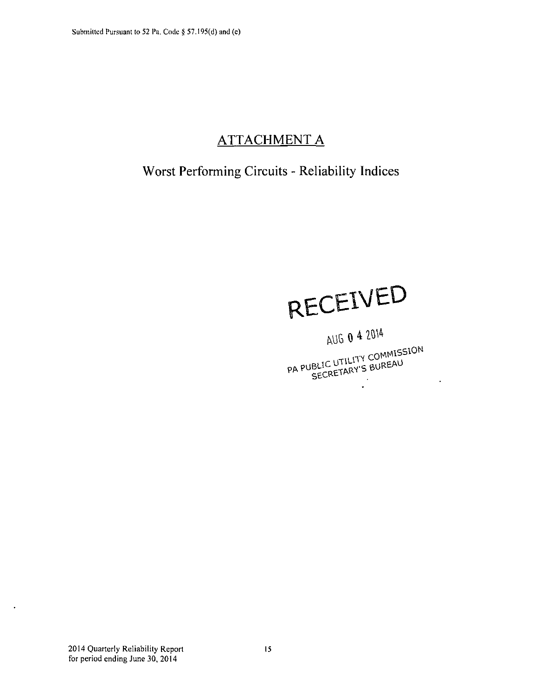# **ATTACHMENT A**

# **Worst Performing Circuits - Reliability Indices**

# **RECEIVED**

AUG 0 4 2014

w COMMISSION PUBLIC UTILITY CUPPEAU  $\mathbb{R}^2$ 

 $\ddot{\phantom{a}}$ 

 $\ddot{\phantom{a}}$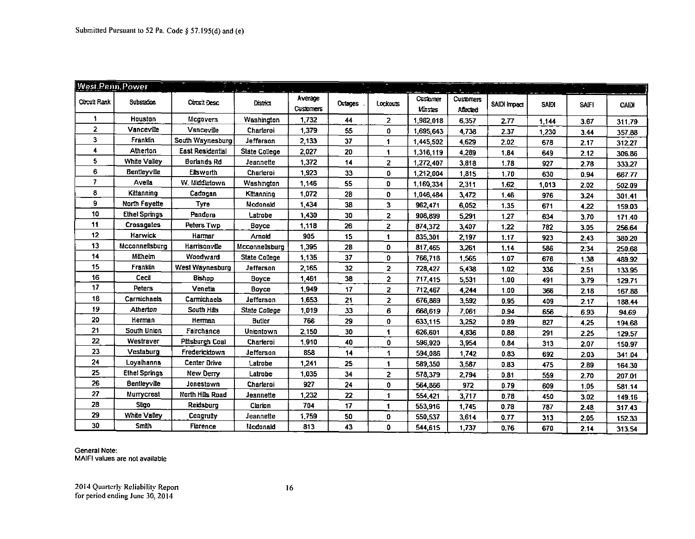| <b>West Penn Power</b> |                      |                         |                      |                      |         |              |                            | $\mathcal{L}_{\mathcal{L}}$ |              |              |              |              |
|------------------------|----------------------|-------------------------|----------------------|----------------------|---------|--------------|----------------------------|-----------------------------|--------------|--------------|--------------|--------------|
| Circuit Rank           | <b>Substation</b>    | Circuit Desc            | District             | Average<br>Customers | Ortages | Lockouts     | Customer<br><b>Minyres</b> | Customers<br>Affected       | SAIDI Impact | <b>SAIDI</b> | <b>SAIFI</b> | <b>CAIDI</b> |
| 1                      | Houston              | Mcgovern                | Washington           | 1,732                | 44      | $\mathbf{2}$ | 1,932,018                  | 6.357                       | 2.77         | 1.144        | 3.67         | 311.79       |
| $\overline{2}$         | Vanceville           | Vanceville              | Charteroi            | 1,379                | 55      | 0            | 1,695,643                  | 4.738                       | 2.37         | 1.230        | 3.44         | 357.88       |
| 3                      | Franklin             | South Waynesburg        | Jefferson            | 2,133                | 37      | 1            | 1,445,502                  | 4629                        | 2.02         | 678          | 2.17         | 312.27       |
| 4                      | Atherton             | <b>East Residential</b> | State College        | 2,027                | 20      | 1            | 1,316,119                  | 4.289                       | 1.84         | 649          | 2.12         | 306.86       |
| 5                      | White Valley         | Borlands Rd             | Jeannette            | 1.372                | 14      | 2            | 1,272,407                  | 3.818                       | 1.78         | 927          | 2.78         | 333.27       |
| 6                      | Bentleyville         | Elsworth                | Charleroi            | 1,923                | 33      | o            | 1,212,004                  | 1815                        | 1.70         | 630          | 0.94         | 667.77       |
| $\overline{7}$         | <b>Avella</b>        | W. Middletown           | Washington           | 1.146                | 55      | o            | 1,160,334                  | 2,311                       | 1.62         | 1,013        | 2.02         | 502.09       |
| 8                      | Kittanning           | Cadocan                 | Kittanning           | 1.072                | 28      | 0            | 1,046,484                  | 3,472                       | 1.46         | 976          | 3.24         | 301.41       |
| 9                      | North Fayette        | Tyre                    | Mcdonald             | 1,434                | 38      | 3            | 962,471                    | 6,052                       | 1.35         | 671          | 4.22         | 159.03       |
| 10                     | <b>Ethel Springs</b> | Pandora                 | Latrobe              | 1,430                | 30      | 2            | 906,899                    | 5.291                       | 1.27         | 634          | 3.70         | 171.40       |
| 11                     | <b>Crossgates</b>    | Peters Twp              | Boyce                | 1,118                | 26      | 2            | 874,372                    | 3,407                       | 1.22         | 782          | 3.05         | 256.64       |
| 12                     | Harwick              | Harmar                  | Arnold               | 905                  | 15      | $\mathbf 1$  | 835,301                    | 2.197                       | 1.17         | 923          | 2.43         | 380.20       |
| 13                     | Mcconnellsburg       | Harrisonville           | Mcconnellsburg       | 1.395                | 28      | 0            | 817,465                    | 3.261                       | 1.14         | 586          | 2.34         | 250.68       |
| 14                     | Milheim              | Woodward                | <b>State College</b> | 1,135                | 37      | 0            | 766,718                    | 1.565                       | 1.07         | 676          | 1.38         | 489.92       |
| 15                     | Franklin             | West Waynesburg         | Jefferson            | 2,165                | 32      | 2            | 728,427                    | 5.438                       | 1.02         | 336          | 2.51         | 133.95       |
| 16                     | Cecil                | Bishop                  | Boyce                | 1,461                | 38      | 2            | 717,415                    | 5,531                       | 1.00         | 491          | 3.79         | 129.71       |
| 17                     | Peters               | Venetia                 | <b>Boyce</b>         | 1,949                | 17      | $\mathbf{z}$ | 712,467                    | 4.244                       | 1.00         | 366          | 2.18         | 167.88       |
| 18                     | Carmichaels          | Carmichaels             | Jefferson            | 1.653                | 21      | $\mathbf{z}$ | 676,869                    | 3,592                       | 0.95         | 409          | 2.17         | 188.44       |
| 19                     | Atherton             | South Hills             | <b>State College</b> | 1,019                | 33      | 6            | 668,619                    | 7 0 61                      | 0.94         | 656          | 6.93         | 94.69        |
| 20                     | Herman               | Herman                  | Butler               | 766                  | 29      | 0            | 633,115                    | 3.252                       | 0.89         | 827          | 4.25         | 194.68       |
| 21                     | South Union          | Fairchance              | <b>Uniontown</b>     | 2,150                | 30      | 1            | 626,601                    | 4.836                       | 0.88         | 291          | 2.25         | 129.57       |
| 22                     | Westraver            | Pittsburgh Coai         | Charleroi            | 1,910                | 40      | 0            | 596,920                    | 3.954                       | 0.84         | 313          | 2.07         | 150.97       |
| 23                     | Vestaburg            | Fredericktown           | Jefferson            | 858                  | 14      | 1            | 594,086                    | 1.742                       | 0.83         | 692          | 2.03         | 341.04       |
| 24                     | Loyalhanna           | Center Drive            | Latrobe              | 1,241                | 25      | 1            | 589,350                    | 3.587                       | 0.83         | 475          | 2.89         | 164.30       |
| 25                     | <b>Ethel Springs</b> | New Derry               | Latrobe              | 1,035                | 34      | 2            | 578,379                    | 2,794                       | 0.81         | 559          | 2.70         | 207.01       |
| 26                     | Bentleyville         | Jonestown               | Charleroi            | 927                  | 24      | 0            | 564,866                    | 972                         | 0.79         | 609          | 1.05         | 581.14       |
| 27                     | Murrycrest           | North Hills Road        | Jeannette            | 1,232                | 22      | 1            | 554,421                    | 3,717                       | 0.78         | 450          | 3.02         | 149.16       |
| 28                     | Sligo                | Reidsburg               | Clarion              | 704                  | 17      | 1            | 553,916                    | 1,745                       | 0.78         | 787          | 2.48         | 317.43       |
| 29                     | White Valley         | Congruity               | Jeannette            | 1,759                | 50      | 0            | 550,537                    | 3,614                       | 0.77         | 313          | 2.05         | 152.33       |
| 30                     | Smith                | Ficrence                | <b>Mcdonald</b>      | 813                  | 43      | o            | 544,615                    | 1.737                       | 0.76         | 670          | 2.14         | 313.54       |

General Note: MAIFI values are not available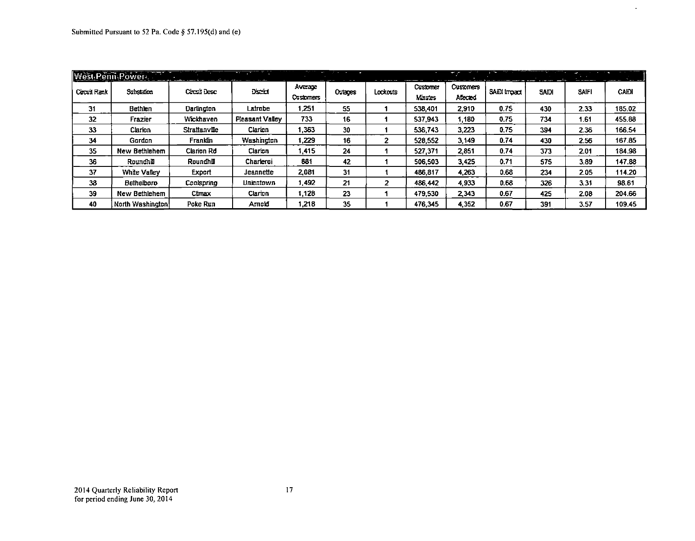|              | West-Penn-Power  |                   | والانتظام والمعارض<br>$\sim$ | $\sim$             | and the control of the con-<br>---<br>$-$ |          |                     |                       |              |              |              | <b>All and Contract Street</b> |
|--------------|------------------|-------------------|------------------------------|--------------------|-------------------------------------------|----------|---------------------|-----------------------|--------------|--------------|--------------|--------------------------------|
| Circuit Rank | Substation.      | Crossi Desc       | Discost                      | Average<br>Commers | Outages                                   | Lockouts | Customer<br>Minutes | Customers<br>Affected | SAIDI Impact | <b>SAIDI</b> | <b>SAIFI</b> | CAIDI                          |
| 31           | Bethlen          | Darlington        | Latrobe                      | .251               | 55                                        |          | 538,401             | 2,910                 | 0.75         | 430          | 2.33         | 185.02                         |
| 32           | Frazier          | Wickhaven         | <b>Pleasant Valley</b>       | 733                | 16                                        |          | 537,943             | 1.80 ا                | 0.75         | 734          | 1.61         | 455.88                         |
| 33           | Clarion          | Strattanville     | Clarion                      | . 353              | 30                                        |          | 536.743             | 3,223                 | 0.75         | 394          | 2.36         | 166.54                         |
| 34           | Gordon           | Franklin          | Washington                   | 1.229              | 16                                        |          | 528.552             | 3.149                 | 0.74         | 430          | 2.56         | 167.85                         |
| 35           | New Bethlehem    | <b>Clarion Rd</b> | Clarion                      | 1.415              | 24                                        |          | 527.371             | 2.851                 | 074          | 373          | 2.01         | 184.98                         |
| 36           | Roundhill        | Roundhill         | Charteroi                    | 881                | 42                                        |          | 506,503             | 3,425                 | 0.71         | 575          | 3.89         | 147.88                         |
| 37           | White Valley     | Export            | Jeannette                    | 2.081              | 31                                        |          | 486.817             | 4.263                 | 0.68         | 234          | 2.05         | 114.20                         |
| 38           | Bethelboro       | Coolspring        | Uniontown                    | 1.492              | 21                                        | 2        | 486.442             | 4 9 3 3               | 0.68         | 326          | 3.31         | 98.61                          |
| 39           | New Bethlehem    | Ctmax             | Claricn                      | 1.128              | 23                                        |          | 479.530             | 2.343                 | 0.67         | 425          | 2.08         | 204.66                         |
| 40           | North Washington | Poke Run          | Amold                        | 1.218              | 35                                        |          | 476,345             | 4.352                 | 0.67         | 391          | 3.57         | 109.45                         |

 $\sim$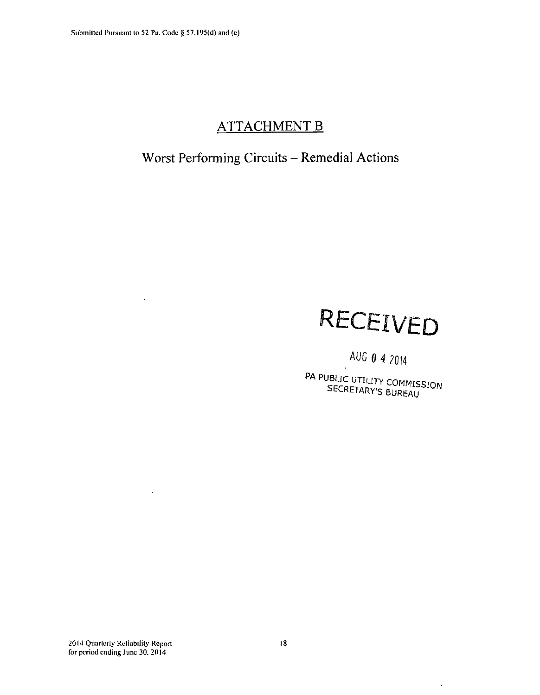$\bar{z}$ 

 $\hat{\mathcal{A}}$ 

## **ATTACHMENT B**

# **Worst Performing Circuits - Remedial Actions**

# RECEIVED

AUG 0 4 ?0!4

PA PUBLIC UTILITY COMMISSION<br>SECRETARY'S BUREAU

 $\overline{\phantom{a}}$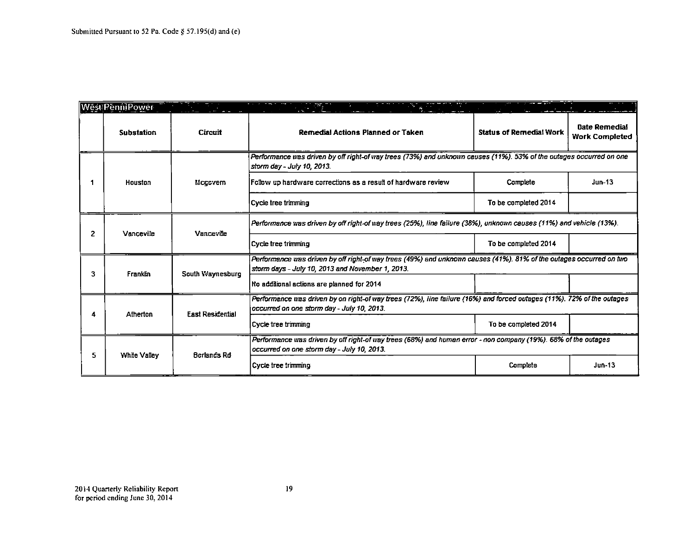|    | <b>West PenniPower</b>  |                  |                                                                                                                                                                         |                                                                                                                |                                        |  |
|----|-------------------------|------------------|-------------------------------------------------------------------------------------------------------------------------------------------------------------------------|----------------------------------------------------------------------------------------------------------------|----------------------------------------|--|
|    | Substation              | Circuit          | Remedial Actions Planned or Taken                                                                                                                                       | <b>Status of Remedial Work</b>                                                                                 | Date Remedial<br><b>Work Completed</b> |  |
|    |                         |                  | Performance was driven by off right-of way trees (73%) and unknown causes (11%). 53% of the outages occurred on one<br>storm day - July 10, 2013.                       |                                                                                                                |                                        |  |
|    | Houston                 | Mcccvern         | Follow up hardware corrections as a result of hardware review                                                                                                           | Complete                                                                                                       | $Jun-13$                               |  |
|    |                         |                  | Cycle tree trimming                                                                                                                                                     | To be completed 2014                                                                                           |                                        |  |
| 2  |                         |                  | Performance was driven by off right-of way trees (25%), line failure (38%), unknown causes (11%) and vehicle (13%).                                                     |                                                                                                                |                                        |  |
|    | Vanceville              | Vanceville       | Cycle tree trimming                                                                                                                                                     | To be completed 2014                                                                                           |                                        |  |
|    |                         | South Waynesburg | Performance was driven by off right-of way trees (49%) and unknown causes (41%). 81% of the outages occurred on two<br>storm days - July 10, 2013 and November 1, 2013. |                                                                                                                |                                        |  |
|    | Franklin<br>3           |                  | No additional actions are planned for 2014                                                                                                                              |                                                                                                                |                                        |  |
|    | <b>East Residential</b> |                  | Performance was driven by on right-of way trees (72%), line failure (16%) and forced outages (11%). 72% of the outages<br>occurred on one storm day - July 10, 2013.    |                                                                                                                |                                        |  |
|    | Atherton                |                  | Cycle tree trimming                                                                                                                                                     | To be completed 2014                                                                                           |                                        |  |
|    |                         |                  | occurred on one storm day - July 10, 2013.                                                                                                                              | Performance was driven by off right-of way trees (68%) and human error - non company (19%). 68% of the outages |                                        |  |
| 5. | While Valley            | Borlands Rd      | Cycle tree trimming                                                                                                                                                     | Complete                                                                                                       | <b>Jun-13</b>                          |  |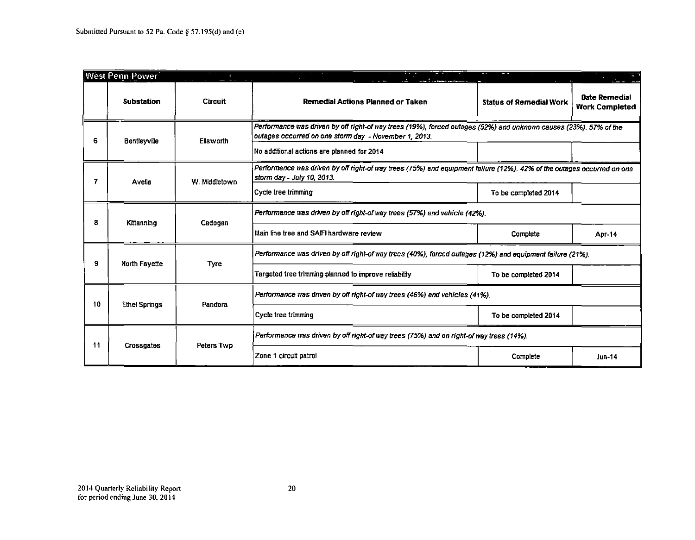|    | <b>West Penn Power</b> |                                 |                                                                                                                                                      |                                                                                                                   |                                        |  |
|----|------------------------|---------------------------------|------------------------------------------------------------------------------------------------------------------------------------------------------|-------------------------------------------------------------------------------------------------------------------|----------------------------------------|--|
|    | <b>Substation</b>      | Circuit                         | Remedial Actions Planned or Taken                                                                                                                    | <b>Status of Remedial Work</b>                                                                                    | Date Remedial<br><b>Work Completed</b> |  |
| 6  | Bentleyville           | Elisworth                       | outages occurred on one storm day - November 1, 2013.                                                                                                | Performance was driven by off right-of way trees (19%), forced outages (52%) and unknown causes (23%). 57% of the |                                        |  |
|    |                        |                                 | No additional actions are planned for 2014                                                                                                           |                                                                                                                   |                                        |  |
|    | Avella                 | W. Middletown                   | Performance was driven by off right-of way trees (75%) and equipment failure (12%). 42% of the outages occurred on one<br>storm day - July 10, 2013. |                                                                                                                   |                                        |  |
|    |                        |                                 | Cycle tree trimming                                                                                                                                  | To be completed 2014                                                                                              |                                        |  |
| 8  | Kittanning<br>Cadoqan  |                                 | Performance was driven by off right-of way trees (57%) and vehicle (42%).                                                                            |                                                                                                                   |                                        |  |
|    |                        |                                 | Main line tree and SAIFI hardware review                                                                                                             | Complete                                                                                                          | Apr-14                                 |  |
| 9  | North Fayette          | Tyre                            | Performance was driven by off right-of way trees (40%), forced outages (12%) and equipment failure (21%).                                            |                                                                                                                   |                                        |  |
|    |                        |                                 | Targeted tree trimming planned to improve reliability                                                                                                | To be completed 2014                                                                                              |                                        |  |
| 10 | <b>Ethel Springs</b>   | Pandora                         | Performance was driven by off right-of way trees (46%) and vehicles (41%).                                                                           |                                                                                                                   |                                        |  |
|    |                        |                                 | Cycle tree trimming                                                                                                                                  | To be completed 2014                                                                                              |                                        |  |
| 11 |                        |                                 | Performance was driven by off right-of way trees (75%) and on right-of way trees (14%).                                                              |                                                                                                                   |                                        |  |
|    |                        | Peters Twp<br><b>Crossgates</b> | Zone 1 circuit patrol                                                                                                                                | Complete                                                                                                          | Jun-14                                 |  |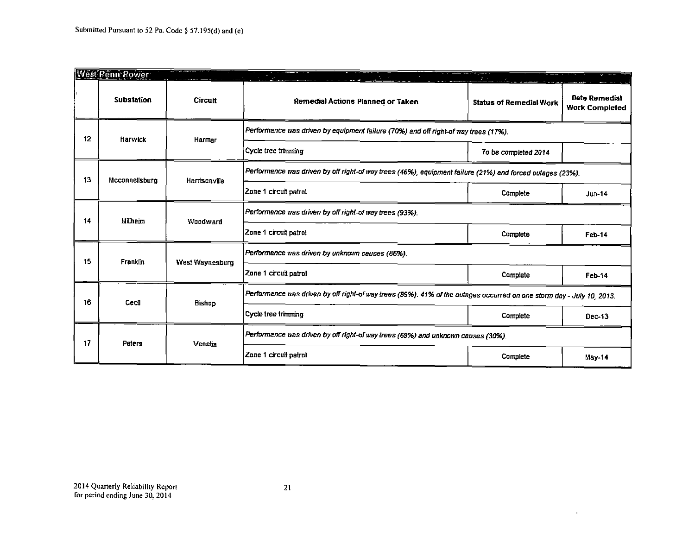|                 | West Penn Power   |                         |                                                                                                                       | والمسترقات<br>$\sigma \rightarrow$ |                                        |
|-----------------|-------------------|-------------------------|-----------------------------------------------------------------------------------------------------------------------|------------------------------------|----------------------------------------|
|                 | <b>Substation</b> | <b>Circuit</b>          | Remedial Actions Planned or Taken                                                                                     | <b>Status of Remedial Work</b>     | Date Remedial<br><b>Work Completed</b> |
| 12 <sub>2</sub> | <b>Harwick</b>    | Harmar                  | Performance was driven by equipment failure (70%) and off right-of way trees (17%).                                   |                                    |                                        |
|                 |                   |                         | Cycle tree trimming                                                                                                   | To be completed 2014               |                                        |
| 13              | Mcconnellsburg    | Harrisonville           | Performance was driven by off right-of way trees (46%), equipment failure (21%) and forced outages (23%).             |                                    |                                        |
|                 |                   |                         | Zone 1 circuit patrol                                                                                                 | Complete                           | <b>Jun-14</b>                          |
| 14              | <b>Milheim</b>    | <b><i>Vicedward</i></b> | Performance was driven by off right-of way trees (93%).                                                               |                                    |                                        |
|                 |                   |                         | Zone 1 circuit patrol                                                                                                 | Complete                           | Feb-14                                 |
| 15              | Franklin          | West Waynesburg         | Performance was driven by unknown causes (86%).                                                                       |                                    |                                        |
|                 |                   |                         | Zone 1 circuit patrol                                                                                                 | Complete                           | <b>Feb-14</b>                          |
| 16              | Cecil             | Bishop                  | Performance was driven by off right-of way trees (89%). 41% of the outages occurred on one storm day - July 10, 2013. |                                    |                                        |
|                 |                   |                         | Cycle tree trimming                                                                                                   | Complete                           | $Dec-13$                               |
| 17              |                   |                         | Performance was driven by off right-of way trees (69%) and unknown causes (30%).                                      |                                    |                                        |
|                 | Peters            | Venetia                 | Zone 1 circuit patrol                                                                                                 | Complete                           | $May-14$                               |

 $\sim 10$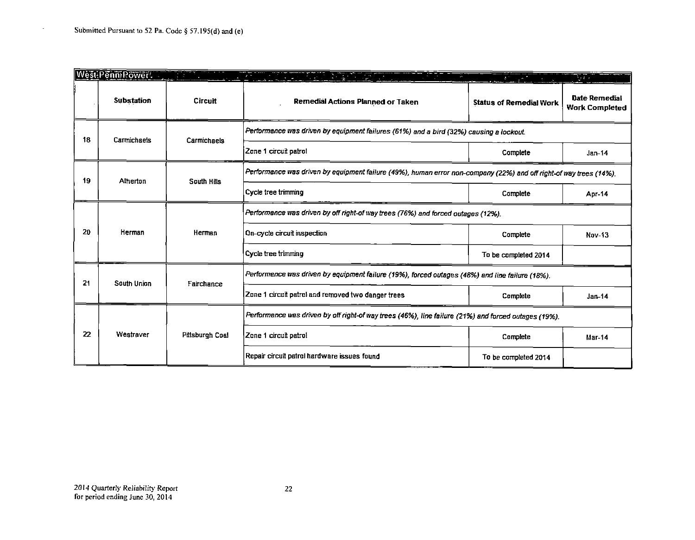$\downarrow$ 

|    | West Penn Rower         |                 | <u> La Brazilia de la pro</u> ficial                                                                               | <u>e graven</u>                | iya s                                  |
|----|-------------------------|-----------------|--------------------------------------------------------------------------------------------------------------------|--------------------------------|----------------------------------------|
|    | <b>Substation</b>       | <b>Circuit</b>  | Remedial Actions Planned or Taken                                                                                  | <b>Status of Remedial Work</b> | Date Remedial<br><b>Work Completed</b> |
| 18 | Carmichaels             | Carmichaels     | Performance was driven by equipment failures (61%) and a bird (32%) causing a lockout.                             |                                |                                        |
|    |                         |                 | Zone 1 circuit patrol                                                                                              | Complete                       | $Jan-14$                               |
| 19 | Atherton<br>South Hills |                 | Performance was driven by equipment failure (49%), human error non-company (22%) and off right-of way trees (14%). |                                |                                        |
|    |                         |                 | Cycle tree trimming                                                                                                | Complete                       | Apr-14                                 |
|    |                         | Herman          | Performance was driven by off right-of way trees (76%) and forced outages (12%).                                   |                                |                                        |
| 20 | Herman                  |                 | On-cycle circuit inspection                                                                                        | Complete                       | Nov-13                                 |
|    |                         |                 | Cycle tree trimming                                                                                                | To be completed 2014           |                                        |
| 21 | <b>South Union</b>      | Fairchance      | Performance was driven by equipment failure (19%), forced outages (48%) and line failure (18%).                    |                                |                                        |
|    |                         |                 | Zone 1 circuit patrol and removed two danger trees                                                                 | Complete                       | $Jan-14$                               |
|    |                         | Pittsburgh Coal | Performance was driven by off right-of way trees (46%), line failure (21%) and forced outages (19%).               |                                |                                        |
| 22 | Westraver               |                 | Zone 1 circuit patrol                                                                                              | Complete                       | Mar-14                                 |
|    |                         |                 | Repair circuit patrol hardware issues found                                                                        | To be completed 2014           |                                        |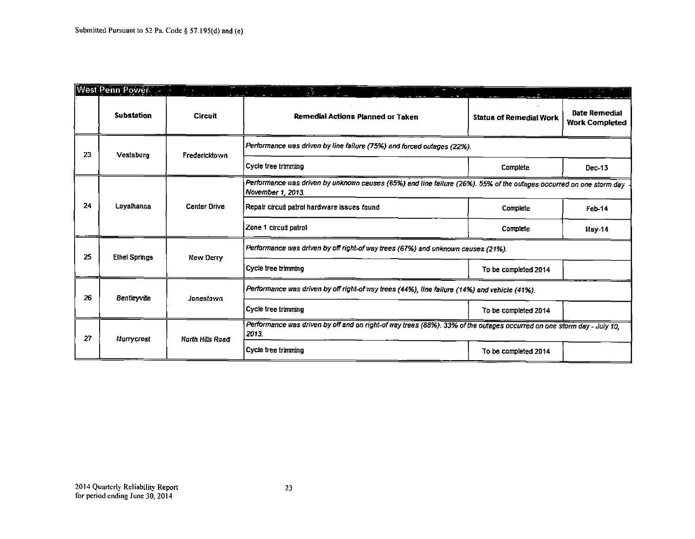|    | West Penn Power                   | $\tau = \pm 1$                                                                                             | 국민                                                                                                                              |                                                                                                                     |                                        |  |
|----|-----------------------------------|------------------------------------------------------------------------------------------------------------|---------------------------------------------------------------------------------------------------------------------------------|---------------------------------------------------------------------------------------------------------------------|----------------------------------------|--|
|    | <b>Substation</b>                 | <b>Circuit</b>                                                                                             | Remedial Actions Planned or Taken                                                                                               | <b>Status of Remedial Work</b>                                                                                      | Date Remedial<br><b>Work Completed</b> |  |
| 23 | Vestaburg                         | Fredericktown                                                                                              | Performance was driven by line failure (75%) and forced outages (22%).                                                          |                                                                                                                     |                                        |  |
|    |                                   |                                                                                                            | Cycle tree trimming                                                                                                             | Complete                                                                                                            | $Dec-13$                               |  |
|    |                                   |                                                                                                            | November 1, 2013.                                                                                                               | Performance was driven by unknown causes (65%) and line failure (26%). 55% of the outages occurred on one storm day |                                        |  |
| 24 | Loyalhanna                        | <b>Center Drive</b>                                                                                        | Repair circuit patrol hardware issues found                                                                                     | Complete                                                                                                            | Feb 14                                 |  |
|    |                                   |                                                                                                            | Zone 1 circuit patrol                                                                                                           | Complete                                                                                                            | May-14                                 |  |
| 25 | Ethel Springs<br><b>New Derry</b> |                                                                                                            | Performance was driven by off right-of way trees (67%) and unknown causes (21%).                                                |                                                                                                                     |                                        |  |
|    |                                   |                                                                                                            | Cycle tree trimming                                                                                                             | To be completed 2014                                                                                                |                                        |  |
| 26 | Bentleyville                      | Performance was driven by off right-of way trees (44%), line failure (14%) and vehicle (41%).<br>Janestown |                                                                                                                                 |                                                                                                                     |                                        |  |
|    |                                   |                                                                                                            | Cycle tree trimming                                                                                                             | To be completed 2014                                                                                                |                                        |  |
| 27 | Murrycrest                        | <b>North Hills Road</b>                                                                                    | Performance was driven by off and on right-of way trees (88%). 33% of the outages occurred on one storm day - July 10,<br>2013. |                                                                                                                     |                                        |  |
|    |                                   | Cycle tree trimming                                                                                        | To be completed 2014                                                                                                            |                                                                                                                     |                                        |  |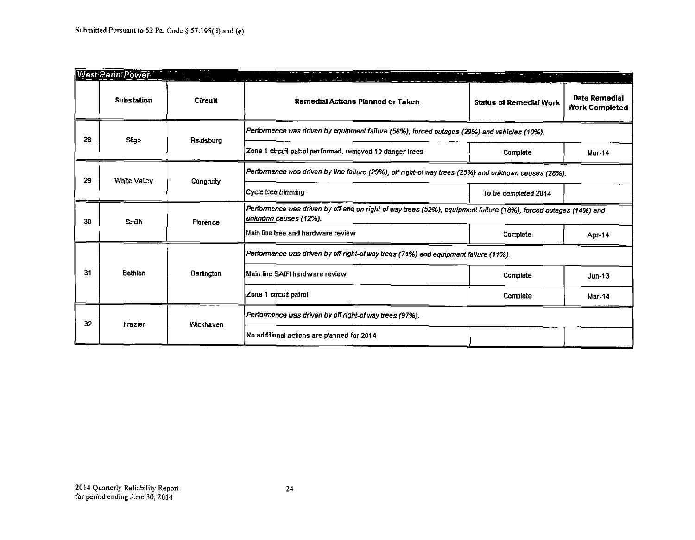|    | <b>West Penni Power</b> | $\sim$     |                                                                                                                                           |                                |                                               |  |
|----|-------------------------|------------|-------------------------------------------------------------------------------------------------------------------------------------------|--------------------------------|-----------------------------------------------|--|
|    | Substation              | Circuit    | Remedial Actions Planned or Taken                                                                                                         | <b>Status of Remedial Work</b> | <b>Date Remedial</b><br><b>Work Completed</b> |  |
| 28 | Sligo                   | Reidsburg  | Performance was driven by equipment failure (56%), forced outages (29%) and vehicles (10%).                                               |                                |                                               |  |
|    |                         |            | Zone 1 circuit patrol performed, removed 10 danger trees                                                                                  | Complete                       | <b>Mar-14</b>                                 |  |
| 29 | White Valley            |            | Performance was driven by line failure (29%), off right-of way trees (25%) and unknown causes (28%).                                      |                                |                                               |  |
|    |                         | Congruity  | Cycle tree trimming                                                                                                                       | To be completed 2014           |                                               |  |
| 30 | Smith                   | Florence   | Performance was driven by off and on right-of way trees (52%), equipment failure (18%), forced outages (14%) and<br>unknown causes (12%). |                                |                                               |  |
|    |                         |            | Main line tree and hardware review                                                                                                        | Complete                       | <b>Apr-14</b>                                 |  |
|    |                         |            | Performance was driven by off right-of way trees (71%) and equipment failure (11%).                                                       |                                |                                               |  |
| 31 | <b>Bethlen</b>          | Dartington | Main line SAIFI hardware review                                                                                                           | Complete                       | $Jun-13$                                      |  |
|    |                         |            | Zone 1 circuit patroi                                                                                                                     | Complete                       | $Mar-14$                                      |  |
| 32 | Frazier                 | Wickhaven  | Performance was driven by off right-of way trees (97%).                                                                                   |                                |                                               |  |
|    |                         |            | No additional actions are planned for 2014                                                                                                |                                |                                               |  |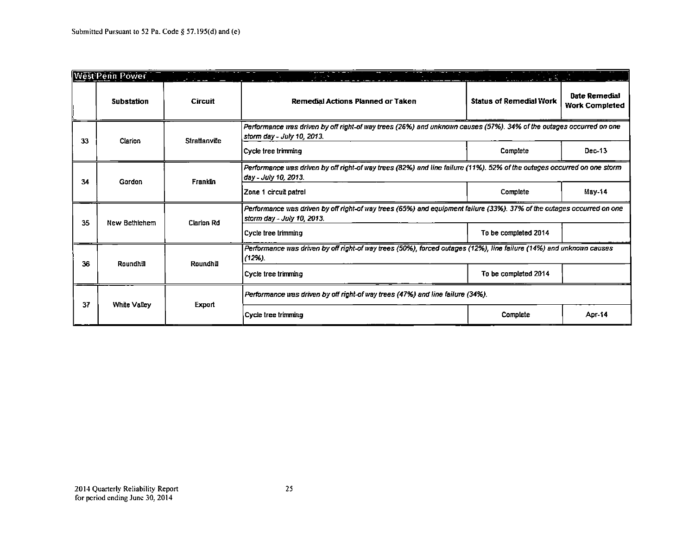|                     | <b>West Penn Power</b>                                                         |                |                                                                                                                                                      | $\mathbb{Z}$ is $\mathbb{Z}$ in $\mathbb{Z}$ in $\mathbb{Z}$                                                        |                                        |  |
|---------------------|--------------------------------------------------------------------------------|----------------|------------------------------------------------------------------------------------------------------------------------------------------------------|---------------------------------------------------------------------------------------------------------------------|----------------------------------------|--|
|                     | <b>Substation</b>                                                              | <b>Circuit</b> | Remedial Actions Planned or Taken                                                                                                                    | <b>Status of Remedial Work</b>                                                                                      | Date Remedial<br><b>Work Completed</b> |  |
| 33                  | Clarion                                                                        | Strattanville  | storm day - July 10, 2013.                                                                                                                           | Performance was driven by off right-of way trees (26%) and unknown causes (57%). 34% of the outages occurred on one |                                        |  |
|                     |                                                                                |                | Cycle tree trimming                                                                                                                                  | Complete                                                                                                            | $Dec-13$                               |  |
| 34                  | Gordon<br>Franklin                                                             |                | Performance was driven by off right-of way trees (82%) and line failure (11%). 52% of the outages occurred on one storm<br>day - July 10, 2013.      |                                                                                                                     |                                        |  |
|                     |                                                                                |                | Zone 1 circuit patrol                                                                                                                                | Complete                                                                                                            | May-14                                 |  |
| 35<br>New Bethlehem |                                                                                | Clarion Rd     | Performance was driven by off right-of way trees (65%) and equipment failure (33%). 37% of the outages occurred on one<br>storm day - July 10, 2013. |                                                                                                                     |                                        |  |
|                     |                                                                                |                | Cycle tree trimming                                                                                                                                  | To be completed 2014                                                                                                |                                        |  |
| 36                  | (12%)<br>Roundhill<br>Roundhill                                                |                | Performance was driven by off right-of way trees (50%), forced outages (12%), line failure (14%) and unknown causes                                  |                                                                                                                     |                                        |  |
|                     |                                                                                |                | Cycle tree trimming                                                                                                                                  | To be completed 2014                                                                                                |                                        |  |
| 37                  | Performance was driven by off right-of way trees (47%) and line failure (34%). |                |                                                                                                                                                      |                                                                                                                     |                                        |  |
|                     | White Valley                                                                   | Export         | Cycle tree trimming                                                                                                                                  | Complete                                                                                                            | Apr 14                                 |  |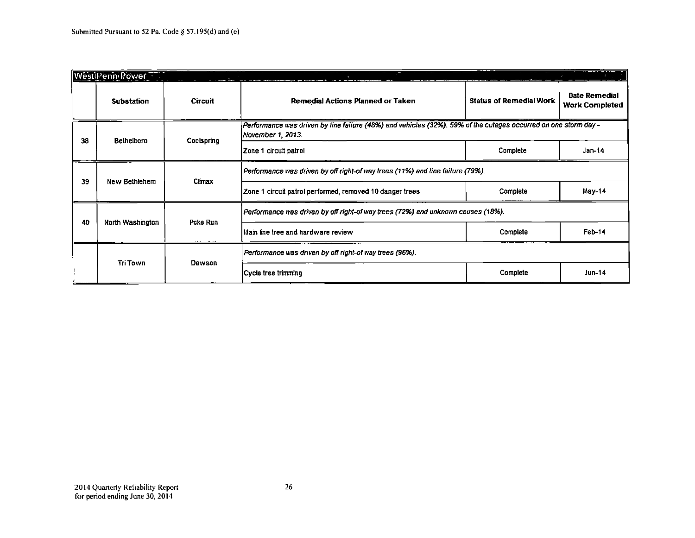|    | West Penn Power   |                |                                                                                                                                      |                                |                                        |  |
|----|-------------------|----------------|--------------------------------------------------------------------------------------------------------------------------------------|--------------------------------|----------------------------------------|--|
|    | <b>Substation</b> | <b>Circuit</b> | Remedial Actions Planned or Taken                                                                                                    | <b>Status of Remedial Work</b> | Date Remedial<br><b>Work Completed</b> |  |
| 38 | Bethelboro        | Coolspring     | Performance was driven by line failure (48%) and vehicles (32%). 59% of the outages occurred on one storm day -<br>November 1, 2013. |                                |                                        |  |
|    |                   |                | Zone 1 circuit patrol                                                                                                                | Complete                       | $Jan-14$                               |  |
| 39 | New Bethlehem     | Climax         | Performance was driven by off right-of way trees (11%) and line failure (79%).                                                       |                                |                                        |  |
|    |                   |                | Zone 1 circuit patrol performed, removed 10 danger trees                                                                             | Complete                       | May-14                                 |  |
| 40 | North Washington  | Poke Run       | Performance was driven by off right-of way trees (72%) and unknown causes (18%).                                                     |                                |                                        |  |
|    |                   |                | Main line tree and hardware review                                                                                                   | Complete                       | $Feb-14$                               |  |
|    | <b>Tri Town</b>   | Dawson         | Performance was driven by off right-of way trees (96%).                                                                              |                                |                                        |  |
|    |                   |                | Cycle tree trimming                                                                                                                  | Complete                       | <b>Jun-14</b>                          |  |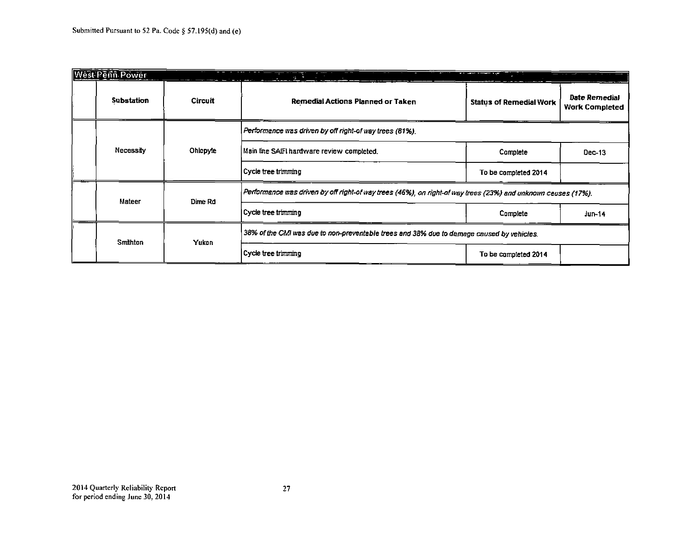| <b>West Penn Power</b> |          |                                                                                                               |                                |                                        |
|------------------------|----------|---------------------------------------------------------------------------------------------------------------|--------------------------------|----------------------------------------|
| <b>Substation</b>      | Circuit  | Remedial Actions Planned or Taken                                                                             | <b>Status of Remedial Work</b> | Date Remedial<br><b>Work Completed</b> |
|                        |          | Performance was driven by off right-of way trees (81%).                                                       |                                |                                        |
| Necessity              | Ohiopyle | Main line SAIFI hardware review completed.                                                                    | Complete                       | Dec-13                                 |
|                        |          | Cycle tree trimming                                                                                           | To be completed 2014           |                                        |
| <b>Mateer</b>          | Dime Rd  | Performance was driven by off right-of way trees (46%), on right-of way trees (23%) and unknown causes (17%). |                                |                                        |
|                        |          | Cycle tree trimming                                                                                           | Complete                       | $J$ un-14                              |
| Smithton               |          | 38% of the CMI was due to non-preventable trees and 38% due to damage caused by vehicles.                     |                                |                                        |
|                        | Yukon    | Cycle tree trimming                                                                                           | To be completed 2014           |                                        |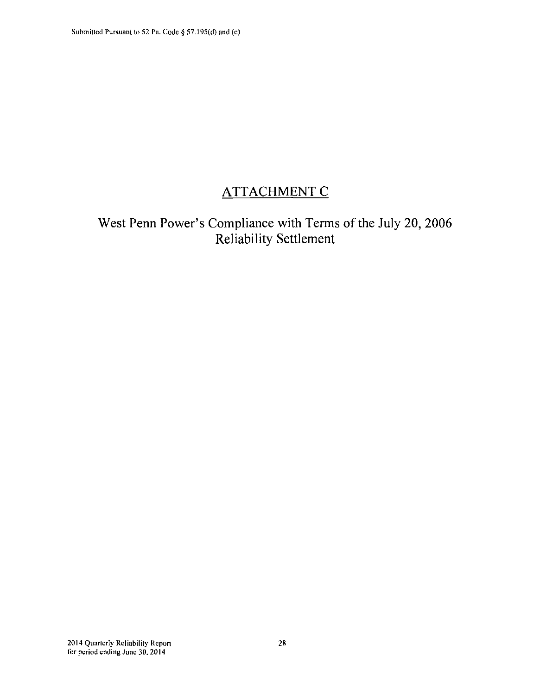# **ATTACHMENT C**

**West Penn Power's Compliance with Terms of the July 20, 2006 Reliability Settlement**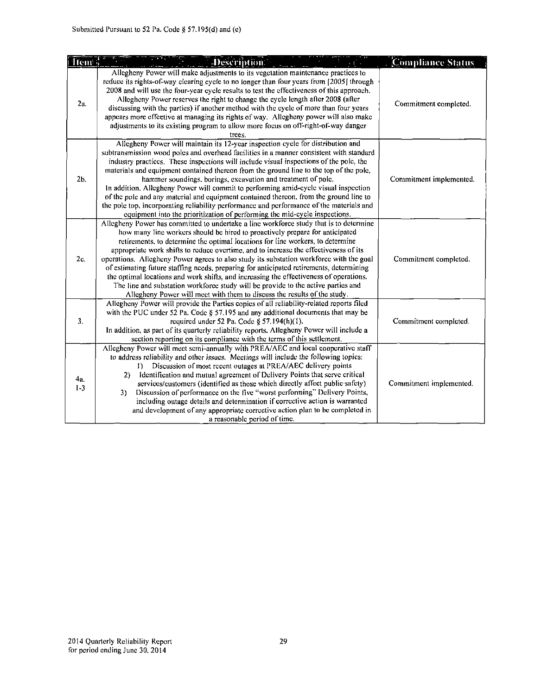| <b>Hem?</b>   | <b>Description</b>                                                                                                                                                                                                                                                                                                                                                                                                                                                                                                                                                                                                                                                                                                                                                                                | Compliance Status       |
|---------------|---------------------------------------------------------------------------------------------------------------------------------------------------------------------------------------------------------------------------------------------------------------------------------------------------------------------------------------------------------------------------------------------------------------------------------------------------------------------------------------------------------------------------------------------------------------------------------------------------------------------------------------------------------------------------------------------------------------------------------------------------------------------------------------------------|-------------------------|
| 2a            | Allegheny Power will make adjustments to its vegetation maintenance practices to<br>reduce its rights-of-way clearing cycle to no longer than four years from [2005] through<br>2008 and will use the four-year cycle results to test the effectiveness of this approach.<br>Allegheny Power reserves the right to change the cycle length after 2008 (after<br>discussing with the parties) if another method with the cycle of more than four years<br>appears more effective at managing its rights of way. Allegheny power will also make<br>adjustments to its existing program to allow more focus on off-right-of-way danger<br>trees.                                                                                                                                                     | Commitment completed.   |
| $2b$ .        | Allegheny Power will maintain its 12-year inspection cycle for distribution and<br>subtransmission wood poles and overhead facilities in a manner consistent with standard<br>industry practices. These inspections will include visual inspections of the pole, the<br>materials and equipment contained thereon from the ground line to the top of the pole,<br>hammer soundings, borings, excavation and treatment of pole.<br>In addition, Allegheny Power will commit to performing amid-cycle visual inspection<br>of the pole and any material and equipment contained thereon, from the ground line to<br>the pole top, incorporating reliability performance and performance of the materials and<br>equipment into the prioritization of performing the mid-cycle inspections.          | Commitment implemented. |
| 2c.           | Allegheny Power has committed to undertake a line workforce study that is to determine<br>how many line workers should be hired to proactively prepare for anticipated<br>retirements, to determine the optimal locations for line workers, to determine<br>appropriate work shifts to reduce overtime, and to increase the effectiveness of its<br>operations. Allegheny Power agrees to also study its substation workforce with the goal<br>of estimating future staffing needs, preparing for anticipated retirements, determining<br>the optimal locations and work shifts, and increasing the effectiveness of operations.<br>The line and substation workforce study will be provide to the active parties and<br>Allegheny Power will meet with them to discuss the results of the study. | Commitment completed.   |
| 3.            | Allegheny Power will provide the Parties copies of all reliability-related reports filed<br>with the PUC under 52 Pa. Code $\S$ 57.195 and any additional documents that may be<br>required under 52 Pa. Code § 57.194(h)(1).<br>In addition, as part of its quarterly reliability reports. Allegheny Power will include a<br>section reporting on its compliance with the terms of this settlement.                                                                                                                                                                                                                                                                                                                                                                                              | Commitment completed.   |
| 4a<br>$1 - 3$ | Allegheny Power will meet semi-annually with PREA/AEC and local cooperative staff<br>to address reliability and other issues. Meetings will include the following topics:<br>Discussion of most recent outages at PREA/AEC delivery points<br>D.<br>Identification and mutual agreement of Delivery Points that serve critical<br>2)<br>services/customers (identified as those which directly affect public safety)<br>Discussion of performance on the five "worst performing" Delivery Points,<br>3)<br>including outage details and determination if corrective action is warranted<br>and development of any appropriate corrective action plan to be completed in<br>a reasonable period of time.                                                                                           | Commitment implemented. |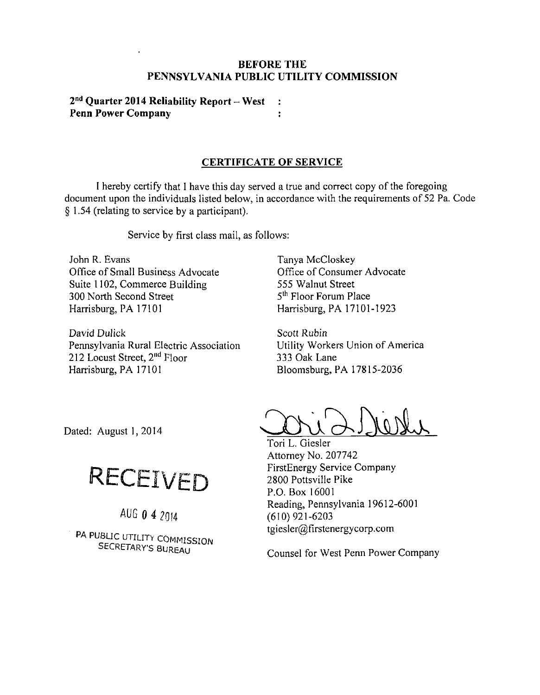#### **BEFORE THE PENNSYLVANIA PUBLIC UTILITY COMMISSION**

**2 n d Quarter 2014 Reliability Report - West**   $\ddot{\phantom{1}}$ **Penn Power Company**   $\ddot{\cdot}$ 

#### **CERTIFICATE OF SERVICE**

I hereby certify that I have this day served a true and correct copy of the foregoing document upon the individuals listed below, in accordance with the requirements of 52 Pa. Code § 1.54 (relating to service by a participant).

Service by first class mail, as follows:

John R. Evans Office of Small Business Advocate Suite 1102, Commerce Building 300 North Second Street Harrisburg, PA 17101

David Dulick Pennsylvania Rural Electric Association 212 Locust Street, 2<sup>nd</sup> Floor Harrisburg, PA 17101

Tanya McCloskey Office of Consumer Advocate 555 Walnut Street 5<sup>th</sup> Floor Forum Place Harrisburg, PA 17101-1923

Scott Rubin Utility Workers Union of America 333 Oak Lane Bloomsburg, PA 17815-2036

Dated: August 1, 2014

**RECEIVED** 

*AUG 0 4 2m* 

PA PUBLIC UTILITY COMMISSION SECRETARY'S BUREAU

Tori L. Giesler Attorney No. 207742 FirstEnergy Service Company 2800 Pottsville Pike P.O. Box 16001 Reading, Pennsylvania 19612-6001 (610) 921-6203 tgiesler@firstenergycorp.com

Counsel for West Penn Power Company